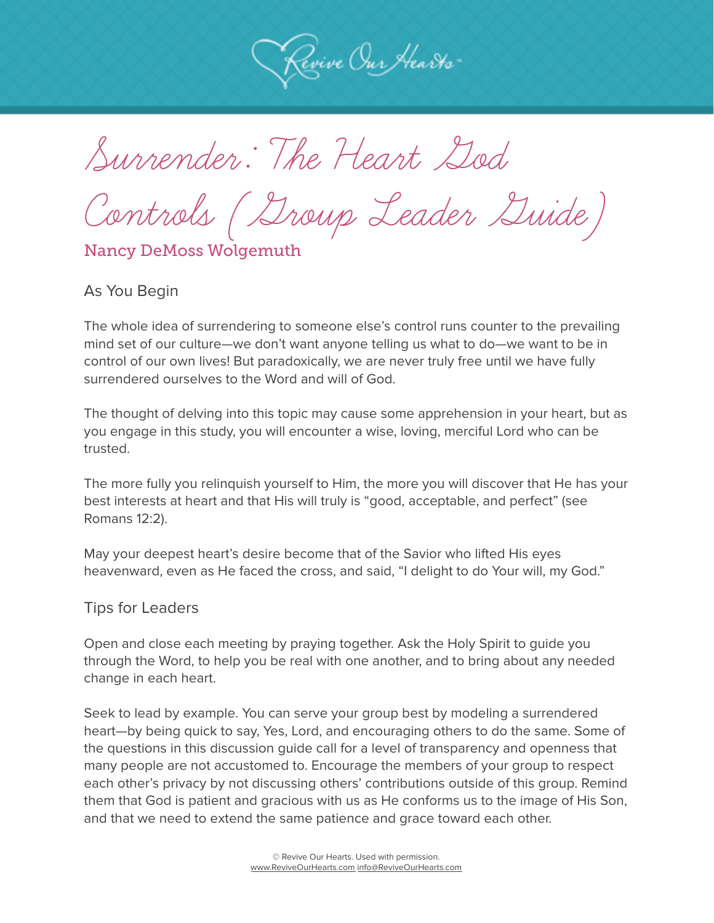

Surrender: The Heart God

Controls (Group Leader Guide)

Nancy DeMoss Wolgemuth

As You Begin

The whole idea of surrendering to someone else's control runs counter to the prevailing mind set of our culture—we don't want anyone telling us what to do—we want to be in control of our own lives! But paradoxically, we are never truly free until we have fully surrendered ourselves to the Word and will of God.

The thought of delving into this topic may cause some apprehension in your heart, but as you engage in this study, you will encounter a wise, loving, merciful Lord who can be trusted.

The more fully you relinquish yourself to Him, the more you will discover that He has your best interests at heart and that His will truly is "good, acceptable, and perfect" (see Romans 12:2).

May your deepest heart's desire become that of the Savior who lifted His eyes heavenward, even as He faced the cross, and said, "I delight to do Your will, my God."

Tips for Leaders

Open and close each meeting by praying together. Ask the Holy Spirit to guide you through the Word, to help you be real with one another, and to bring about any needed change in each heart.

Seek to lead by example. You can serve your group best by modeling a surrendered heart—by being quick to say, Yes, Lord, and encouraging others to do the same. Some of the questions in this discussion guide call for a level of transparency and openness that many people are not accustomed to. Encourage the members of your group to respect each other's privacy by not discussing others' contributions outside of this group. Remind them that God is patient and gracious with us as He conforms us to the image of His Son, and that we need to extend the same patience and grace toward each other.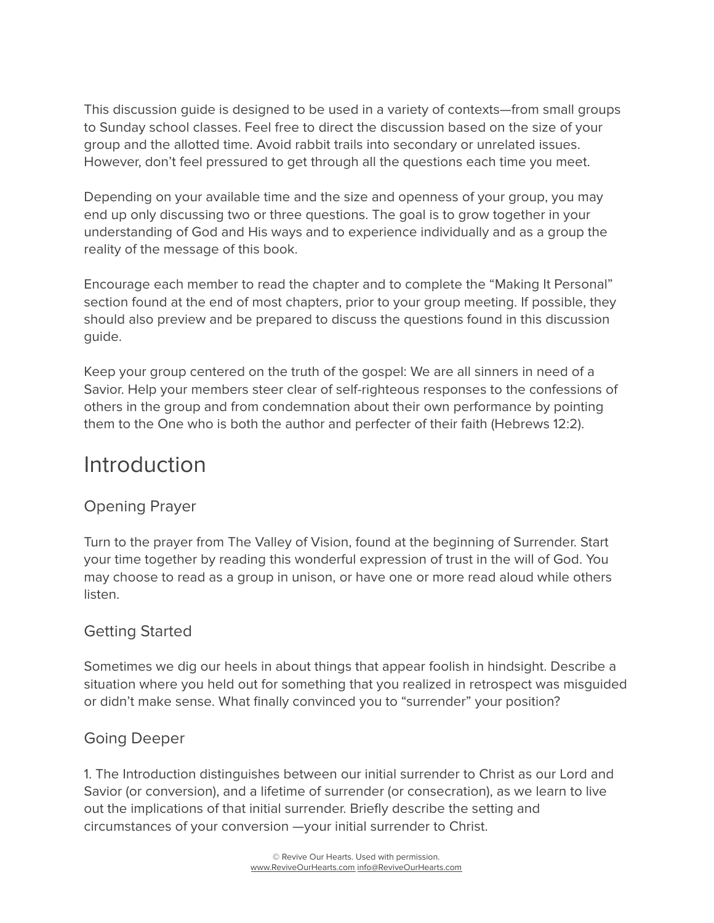This discussion guide is designed to be used in a variety of contexts—from small groups to Sunday school classes. Feel free to direct the discussion based on the size of your group and the allotted time. Avoid rabbit trails into secondary or unrelated issues. However, don't feel pressured to get through all the questions each time you meet.

Depending on your available time and the size and openness of your group, you may end up only discussing two or three questions. The goal is to grow together in your understanding of God and His ways and to experience individually and as a group the reality of the message of this book.

Encourage each member to read the chapter and to complete the "Making It Personal" section found at the end of most chapters, prior to your group meeting. If possible, they should also preview and be prepared to discuss the questions found in this discussion guide.

Keep your group centered on the truth of the gospel: We are all sinners in need of a Savior. Help your members steer clear of self-righteous responses to the confessions of others in the group and from condemnation about their own performance by pointing them to the One who is both the author and perfecter of their faith (Hebrews 12:2).

# Introduction

## Opening Prayer

Turn to the prayer from The Valley of Vision, found at the beginning of Surrender. Start your time together by reading this wonderful expression of trust in the will of God. You may choose to read as a group in unison, or have one or more read aloud while others listen.

### Getting Started

Sometimes we dig our heels in about things that appear foolish in hindsight. Describe a situation where you held out for something that you realized in retrospect was misguided or didn't make sense. What finally convinced you to "surrender" your position?

### Going Deeper

1. The Introduction distinguishes between our initial surrender to Christ as our Lord and Savior (or conversion), and a lifetime of surrender (or consecration), as we learn to live out the implications of that initial surrender. Briefly describe the setting and circumstances of your conversion —your initial surrender to Christ.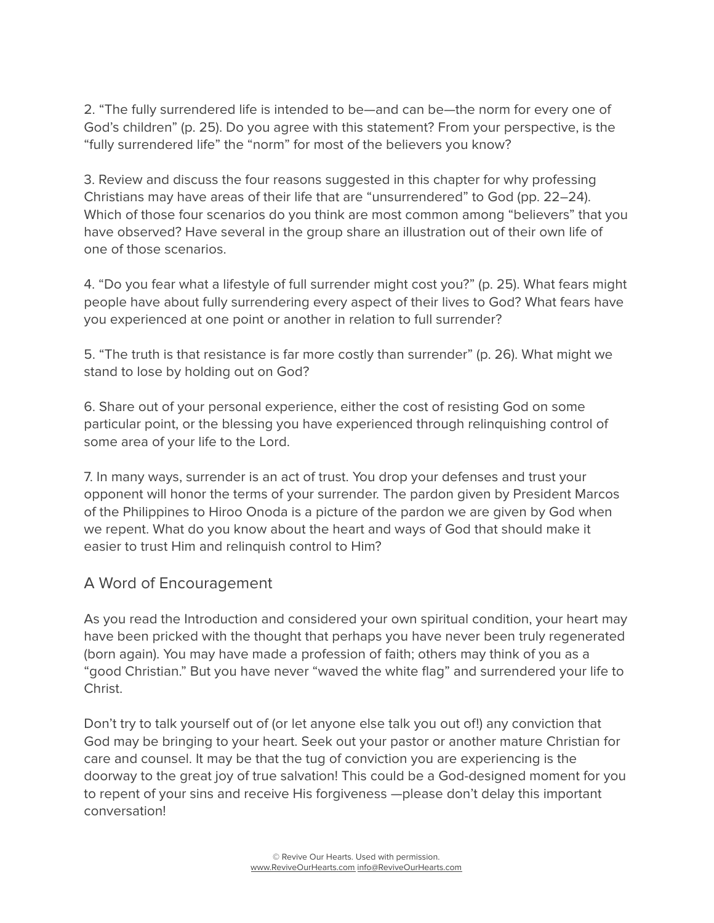2. "The fully surrendered life is intended to be—and can be—the norm for every one of God's children" (p. 25). Do you agree with this statement? From your perspective, is the "fully surrendered life" the "norm" for most of the believers you know?

3. Review and discuss the four reasons suggested in this chapter for why professing Christians may have areas of their life that are "unsurrendered" to God (pp. 22–24). Which of those four scenarios do you think are most common among "believers" that you have observed? Have several in the group share an illustration out of their own life of one of those scenarios.

4. "Do you fear what a lifestyle of full surrender might cost you?" (p. 25). What fears might people have about fully surrendering every aspect of their lives to God? What fears have you experienced at one point or another in relation to full surrender?

5. "The truth is that resistance is far more costly than surrender" (p. 26). What might we stand to lose by holding out on God?

6. Share out of your personal experience, either the cost of resisting God on some particular point, or the blessing you have experienced through relinquishing control of some area of your life to the Lord.

7. In many ways, surrender is an act of trust. You drop your defenses and trust your opponent will honor the terms of your surrender. The pardon given by President Marcos of the Philippines to Hiroo Onoda is a picture of the pardon we are given by God when we repent. What do you know about the heart and ways of God that should make it easier to trust Him and relinquish control to Him?

### A Word of Encouragement

As you read the Introduction and considered your own spiritual condition, your heart may have been pricked with the thought that perhaps you have never been truly regenerated (born again). You may have made a profession of faith; others may think of you as a "good Christian." But you have never "waved the white flag" and surrendered your life to Christ.

Don't try to talk yourself out of (or let anyone else talk you out of!) any conviction that God may be bringing to your heart. Seek out your pastor or another mature Christian for care and counsel. It may be that the tug of conviction you are experiencing is the doorway to the great joy of true salvation! This could be a God-designed moment for you to repent of your sins and receive His forgiveness —please don't delay this important conversation!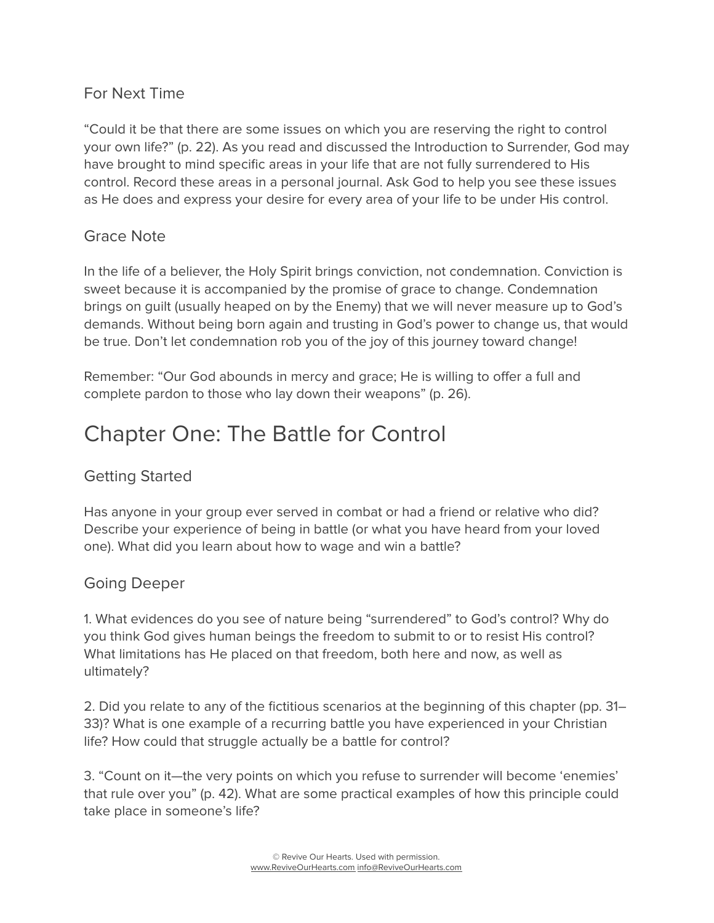#### For Next Time

"Could it be that there are some issues on which you are reserving the right to control your own life?" (p. 22). As you read and discussed the Introduction to Surrender, God may have brought to mind specific areas in your life that are not fully surrendered to His control. Record these areas in a personal journal. Ask God to help you see these issues as He does and express your desire for every area of your life to be under His control.

### Grace Note

In the life of a believer, the Holy Spirit brings conviction, not condemnation. Conviction is sweet because it is accompanied by the promise of grace to change. Condemnation brings on guilt (usually heaped on by the Enemy) that we will never measure up to God's demands. Without being born again and trusting in God's power to change us, that would be true. Don't let condemnation rob you of the joy of this journey toward change!

Remember: "Our God abounds in mercy and grace; He is willing to offer a full and complete pardon to those who lay down their weapons" (p. 26).

# Chapter One: The Battle for Control

## Getting Started

Has anyone in your group ever served in combat or had a friend or relative who did? Describe your experience of being in battle (or what you have heard from your loved one). What did you learn about how to wage and win a battle?

#### Going Deeper

1. What evidences do you see of nature being "surrendered" to God's control? Why do you think God gives human beings the freedom to submit to or to resist His control? What limitations has He placed on that freedom, both here and now, as well as ultimately?

2. Did you relate to any of the fictitious scenarios at the beginning of this chapter (pp. 31– 33)? What is one example of a recurring battle you have experienced in your Christian life? How could that struggle actually be a battle for control?

3. "Count on it—the very points on which you refuse to surrender will become 'enemies' that rule over you" (p. 42). What are some practical examples of how this principle could take place in someone's life?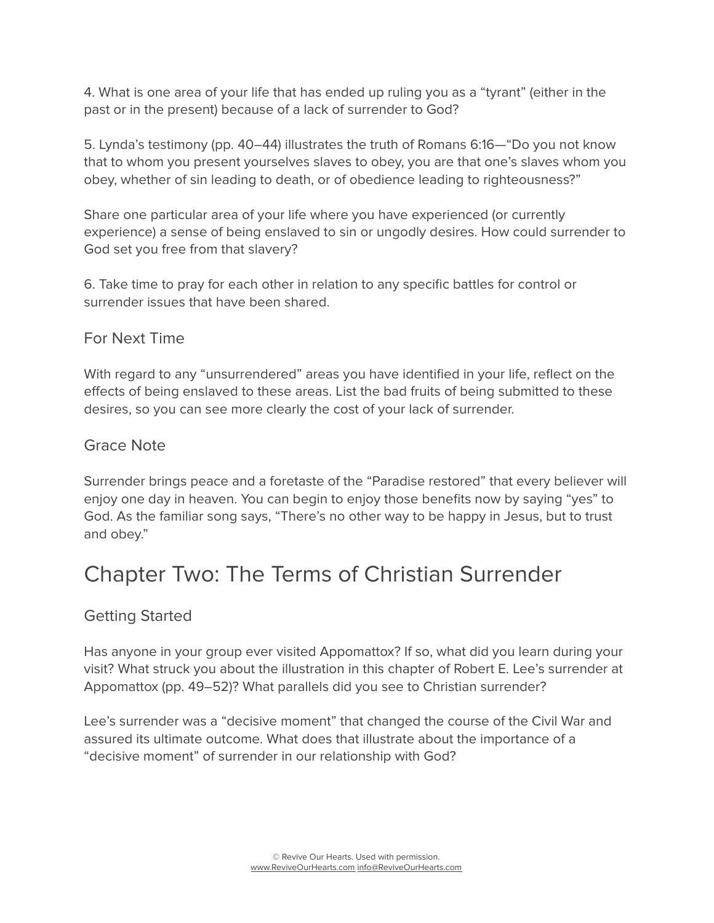4. What is one area of your life that has ended up ruling you as a "tyrant" (either in the past or in the present) because of a lack of surrender to God?

5. Lynda's testimony (pp. 40–44) illustrates the truth of Romans 6:16—"Do you not know that to whom you present yourselves slaves to obey, you are that one's slaves whom you obey, whether of sin leading to death, or of obedience leading to righteousness?"

Share one particular area of your life where you have experienced (or currently experience) a sense of being enslaved to sin or ungodly desires. How could surrender to God set you free from that slavery?

6. Take time to pray for each other in relation to any specific battles for control or surrender issues that have been shared.

### For Next Time

With regard to any "unsurrendered" areas you have identified in your life, reflect on the effects of being enslaved to these areas. List the bad fruits of being submitted to these desires, so you can see more clearly the cost of your lack of surrender.

#### Grace Note

Surrender brings peace and a foretaste of the "Paradise restored" that every believer will enjoy one day in heaven. You can begin to enjoy those benefits now by saying "yes" to God. As the familiar song says, "There's no other way to be happy in Jesus, but to trust and obey."

# Chapter Two: The Terms of Christian Surrender

### Getting Started

Has anyone in your group ever visited Appomattox? If so, what did you learn during your visit? What struck you about the illustration in this chapter of Robert E. Lee's surrender at Appomattox (pp. 49–52)? What parallels did you see to Christian surrender?

Lee's surrender was a "decisive moment" that changed the course of the Civil War and assured its ultimate outcome. What does that illustrate about the importance of a "decisive moment" of surrender in our relationship with God?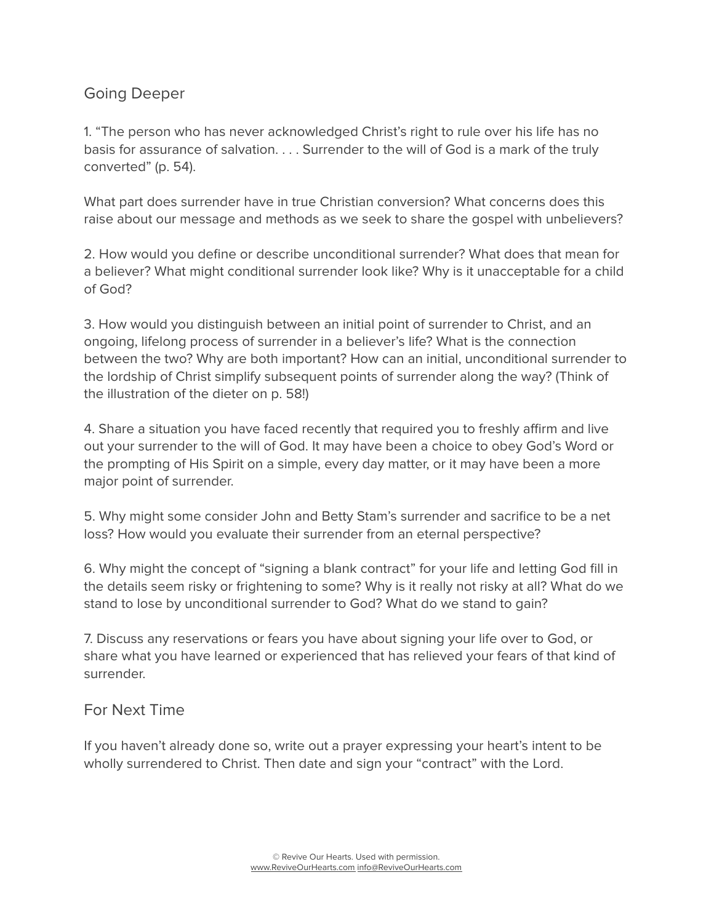### Going Deeper

1. "The person who has never acknowledged Christ's right to rule over his life has no basis for assurance of salvation. . . . Surrender to the will of God is a mark of the truly converted" (p. 54).

What part does surrender have in true Christian conversion? What concerns does this raise about our message and methods as we seek to share the gospel with unbelievers?

2. How would you define or describe unconditional surrender? What does that mean for a believer? What might conditional surrender look like? Why is it unacceptable for a child of God?

3. How would you distinguish between an initial point of surrender to Christ, and an ongoing, lifelong process of surrender in a believer's life? What is the connection between the two? Why are both important? How can an initial, unconditional surrender to the lordship of Christ simplify subsequent points of surrender along the way? (Think of the illustration of the dieter on p. 58!)

4. Share a situation you have faced recently that required you to freshly affirm and live out your surrender to the will of God. It may have been a choice to obey God's Word or the prompting of His Spirit on a simple, every day matter, or it may have been a more major point of surrender.

5. Why might some consider John and Betty Stam's surrender and sacrifice to be a net loss? How would you evaluate their surrender from an eternal perspective?

6. Why might the concept of "signing a blank contract" for your life and letting God fill in the details seem risky or frightening to some? Why is it really not risky at all? What do we stand to lose by unconditional surrender to God? What do we stand to gain?

7. Discuss any reservations or fears you have about signing your life over to God, or share what you have learned or experienced that has relieved your fears of that kind of surrender.

#### For Next Time

If you haven't already done so, write out a prayer expressing your heart's intent to be wholly surrendered to Christ. Then date and sign your "contract" with the Lord.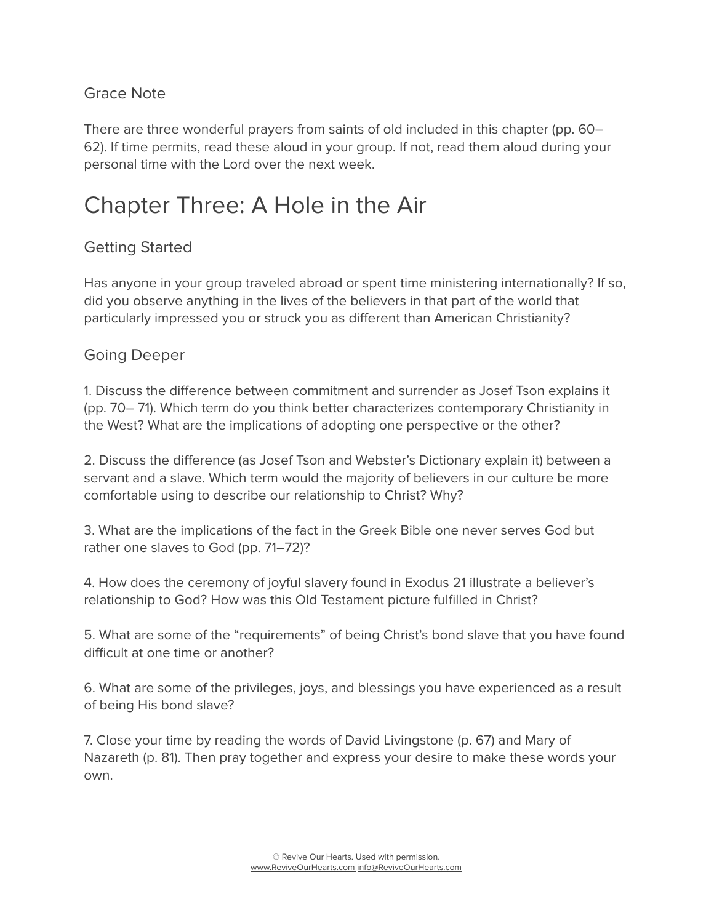#### Grace Note

There are three wonderful prayers from saints of old included in this chapter (pp. 60– 62). If time permits, read these aloud in your group. If not, read them aloud during your personal time with the Lord over the next week.

# Chapter Three: A Hole in the Air

### Getting Started

Has anyone in your group traveled abroad or spent time ministering internationally? If so, did you observe anything in the lives of the believers in that part of the world that particularly impressed you or struck you as different than American Christianity?

#### Going Deeper

1. Discuss the difference between commitment and surrender as Josef Tson explains it (pp. 70– 71). Which term do you think better characterizes contemporary Christianity in the West? What are the implications of adopting one perspective or the other?

2. Discuss the difference (as Josef Tson and Webster's Dictionary explain it) between a servant and a slave. Which term would the majority of believers in our culture be more comfortable using to describe our relationship to Christ? Why?

3. What are the implications of the fact in the Greek Bible one never serves God but rather one slaves to God (pp. 71–72)?

4. How does the ceremony of joyful slavery found in Exodus 21 illustrate a believer's relationship to God? How was this Old Testament picture fulfilled in Christ?

5. What are some of the "requirements" of being Christ's bond slave that you have found difficult at one time or another?

6. What are some of the privileges, joys, and blessings you have experienced as a result of being His bond slave?

7. Close your time by reading the words of David Livingstone (p. 67) and Mary of Nazareth (p. 81). Then pray together and express your desire to make these words your own.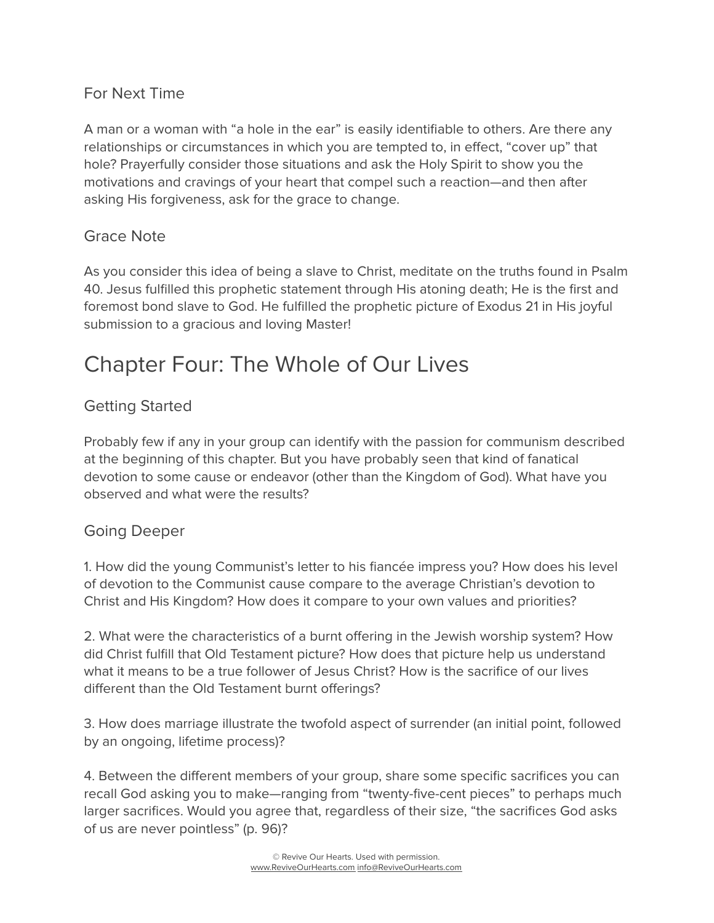#### For Next Time

A man or a woman with "a hole in the ear" is easily identifiable to others. Are there any relationships or circumstances in which you are tempted to, in effect, "cover up" that hole? Prayerfully consider those situations and ask the Holy Spirit to show you the motivations and cravings of your heart that compel such a reaction—and then after asking His forgiveness, ask for the grace to change.

### Grace Note

As you consider this idea of being a slave to Christ, meditate on the truths found in Psalm 40. Jesus fulfilled this prophetic statement through His atoning death; He is the first and foremost bond slave to God. He fulfilled the prophetic picture of Exodus 21 in His joyful submission to a gracious and loving Master!

# Chapter Four: The Whole of Our Lives

### Getting Started

Probably few if any in your group can identify with the passion for communism described at the beginning of this chapter. But you have probably seen that kind of fanatical devotion to some cause or endeavor (other than the Kingdom of God). What have you observed and what were the results?

### Going Deeper

1. How did the young Communist's letter to his fiancée impress you? How does his level of devotion to the Communist cause compare to the average Christian's devotion to Christ and His Kingdom? How does it compare to your own values and priorities?

2. What were the characteristics of a burnt offering in the Jewish worship system? How did Christ fulfill that Old Testament picture? How does that picture help us understand what it means to be a true follower of Jesus Christ? How is the sacrifice of our lives different than the Old Testament burnt offerings?

3. How does marriage illustrate the twofold aspect of surrender (an initial point, followed by an ongoing, lifetime process)?

4. Between the different members of your group, share some specific sacrifices you can recall God asking you to make—ranging from "twenty-five-cent pieces" to perhaps much larger sacrifices. Would you agree that, regardless of their size, "the sacrifices God asks of us are never pointless" (p. 96)?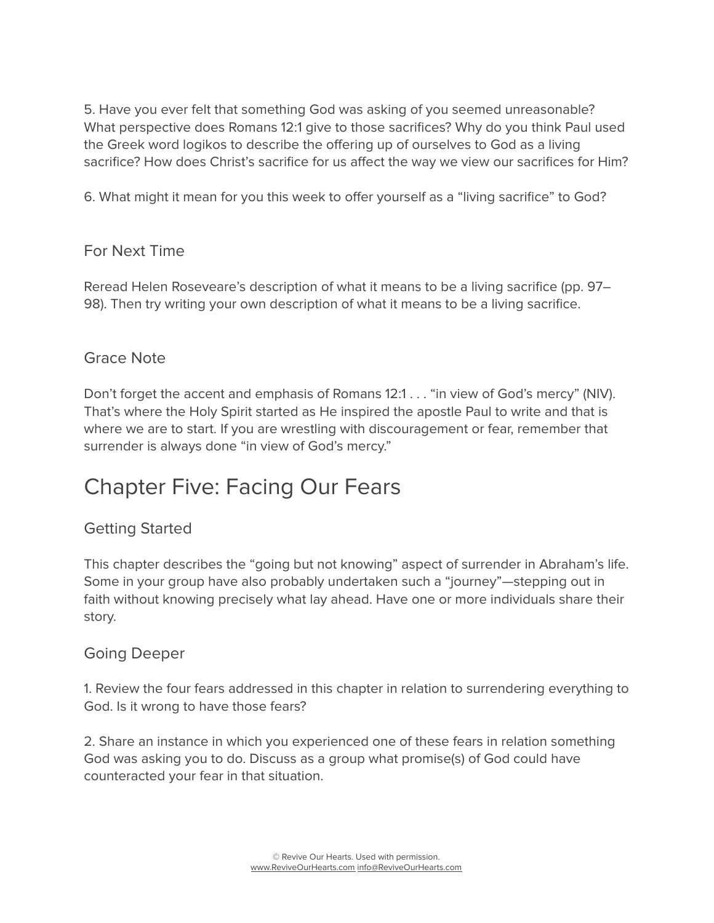5. Have you ever felt that something God was asking of you seemed unreasonable? What perspective does Romans 12:1 give to those sacrifices? Why do you think Paul used the Greek word logikos to describe the offering up of ourselves to God as a living sacrifice? How does Christ's sacrifice for us affect the way we view our sacrifices for Him?

6. What might it mean for you this week to offer yourself as a "living sacrifice" to God?

#### For Next Time

Reread Helen Roseveare's description of what it means to be a living sacrifice (pp. 97– 98). Then try writing your own description of what it means to be a living sacrifice.

#### Grace Note

Don't forget the accent and emphasis of Romans 12:1 . . . "in view of God's mercy" (NIV). That's where the Holy Spirit started as He inspired the apostle Paul to write and that is where we are to start. If you are wrestling with discouragement or fear, remember that surrender is always done "in view of God's mercy."

# Chapter Five: Facing Our Fears

### Getting Started

This chapter describes the "going but not knowing" aspect of surrender in Abraham's life. Some in your group have also probably undertaken such a "journey"—stepping out in faith without knowing precisely what lay ahead. Have one or more individuals share their story.

#### Going Deeper

1. Review the four fears addressed in this chapter in relation to surrendering everything to God. Is it wrong to have those fears?

2. Share an instance in which you experienced one of these fears in relation something God was asking you to do. Discuss as a group what promise(s) of God could have counteracted your fear in that situation.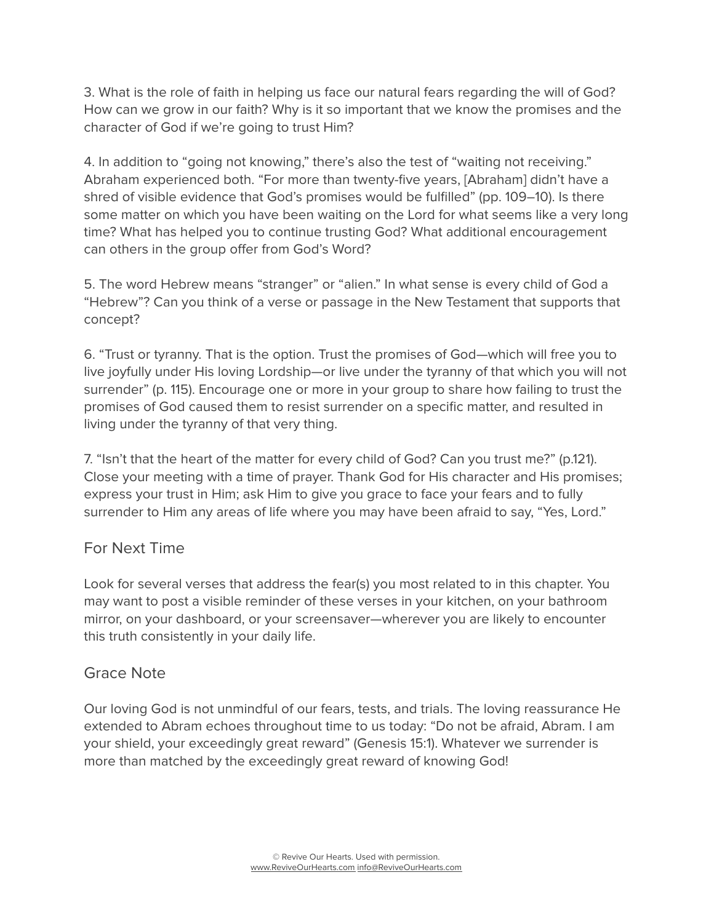3. What is the role of faith in helping us face our natural fears regarding the will of God? How can we grow in our faith? Why is it so important that we know the promises and the character of God if we're going to trust Him?

4. In addition to "going not knowing," there's also the test of "waiting not receiving." Abraham experienced both. "For more than twenty-five years, [Abraham] didn't have a shred of visible evidence that God's promises would be fulfilled" (pp. 109–10). Is there some matter on which you have been waiting on the Lord for what seems like a very long time? What has helped you to continue trusting God? What additional encouragement can others in the group offer from God's Word?

5. The word Hebrew means "stranger" or "alien." In what sense is every child of God a "Hebrew"? Can you think of a verse or passage in the New Testament that supports that concept?

6. "Trust or tyranny. That is the option. Trust the promises of God—which will free you to live joyfully under His loving Lordship—or live under the tyranny of that which you will not surrender" (p. 115). Encourage one or more in your group to share how failing to trust the promises of God caused them to resist surrender on a specific matter, and resulted in living under the tyranny of that very thing.

7. "Isn't that the heart of the matter for every child of God? Can you trust me?" (p.121). Close your meeting with a time of prayer. Thank God for His character and His promises; express your trust in Him; ask Him to give you grace to face your fears and to fully surrender to Him any areas of life where you may have been afraid to say, "Yes, Lord."

### For Next Time

Look for several verses that address the fear(s) you most related to in this chapter. You may want to post a visible reminder of these verses in your kitchen, on your bathroom mirror, on your dashboard, or your screensaver—wherever you are likely to encounter this truth consistently in your daily life.

#### Grace Note

Our loving God is not unmindful of our fears, tests, and trials. The loving reassurance He extended to Abram echoes throughout time to us today: "Do not be afraid, Abram. I am your shield, your exceedingly great reward" (Genesis 15:1). Whatever we surrender is more than matched by the exceedingly great reward of knowing God!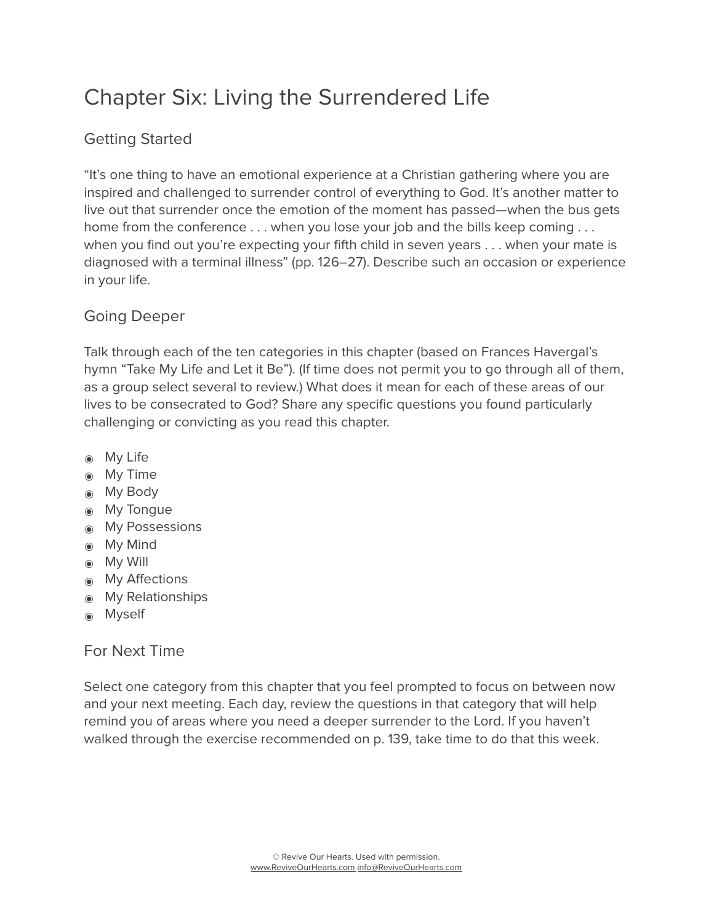# Chapter Six: Living the Surrendered Life

# Getting Started

"It's one thing to have an emotional experience at a Christian gathering where you are inspired and challenged to surrender control of everything to God. It's another matter to live out that surrender once the emotion of the moment has passed—when the bus gets home from the conference . . . when you lose your job and the bills keep coming . . . when you find out you're expecting your fifth child in seven years . . . when your mate is diagnosed with a terminal illness" (pp. 126–27). Describe such an occasion or experience in your life.

## Going Deeper

Talk through each of the ten categories in this chapter (based on Frances Havergal's hymn "Take My Life and Let it Be"). (If time does not permit you to go through all of them, as a group select several to review.) What does it mean for each of these areas of our lives to be consecrated to God? Share any specific questions you found particularly challenging or convicting as you read this chapter.

- ๏ My Life
- ๏ My Time
- ๏ My Body
- ๏ My Tongue
- ๏ My Possessions
- ๏ My Mind
- ๏ My Will
- ๏ My Affections
- ๏ My Relationships
- ๏ Myself

## For Next Time

Select one category from this chapter that you feel prompted to focus on between now and your next meeting. Each day, review the questions in that category that will help remind you of areas where you need a deeper surrender to the Lord. If you haven't walked through the exercise recommended on p. 139, take time to do that this week.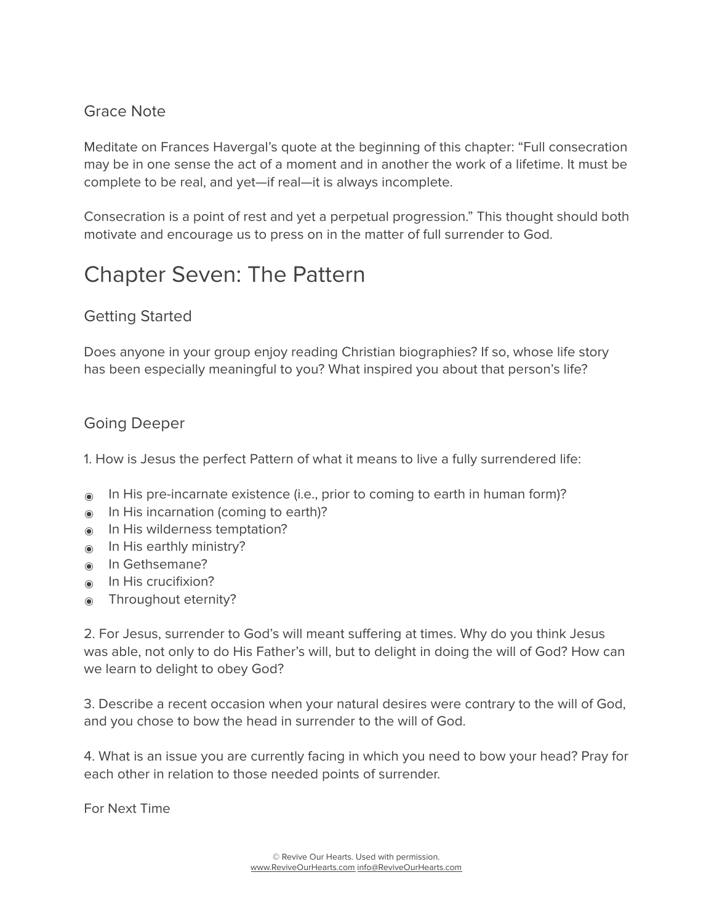### Grace Note

Meditate on Frances Havergal's quote at the beginning of this chapter: "Full consecration may be in one sense the act of a moment and in another the work of a lifetime. It must be complete to be real, and yet—if real—it is always incomplete.

Consecration is a point of rest and yet a perpetual progression." This thought should both motivate and encourage us to press on in the matter of full surrender to God.

# Chapter Seven: The Pattern

#### Getting Started

Does anyone in your group enjoy reading Christian biographies? If so, whose life story has been especially meaningful to you? What inspired you about that person's life?

#### Going Deeper

1. How is Jesus the perfect Pattern of what it means to live a fully surrendered life:

- ๏ In His pre-incarnate existence (i.e., prior to coming to earth in human form)?
- ๏ In His incarnation (coming to earth)?
- ๏ In His wilderness temptation?
- ๏ In His earthly ministry?
- ๏ In Gethsemane?
- o In His crucifixion?
- ๏ Throughout eternity?

2. For Jesus, surrender to God's will meant suffering at times. Why do you think Jesus was able, not only to do His Father's will, but to delight in doing the will of God? How can we learn to delight to obey God?

3. Describe a recent occasion when your natural desires were contrary to the will of God, and you chose to bow the head in surrender to the will of God.

4. What is an issue you are currently facing in which you need to bow your head? Pray for each other in relation to those needed points of surrender.

For Next Time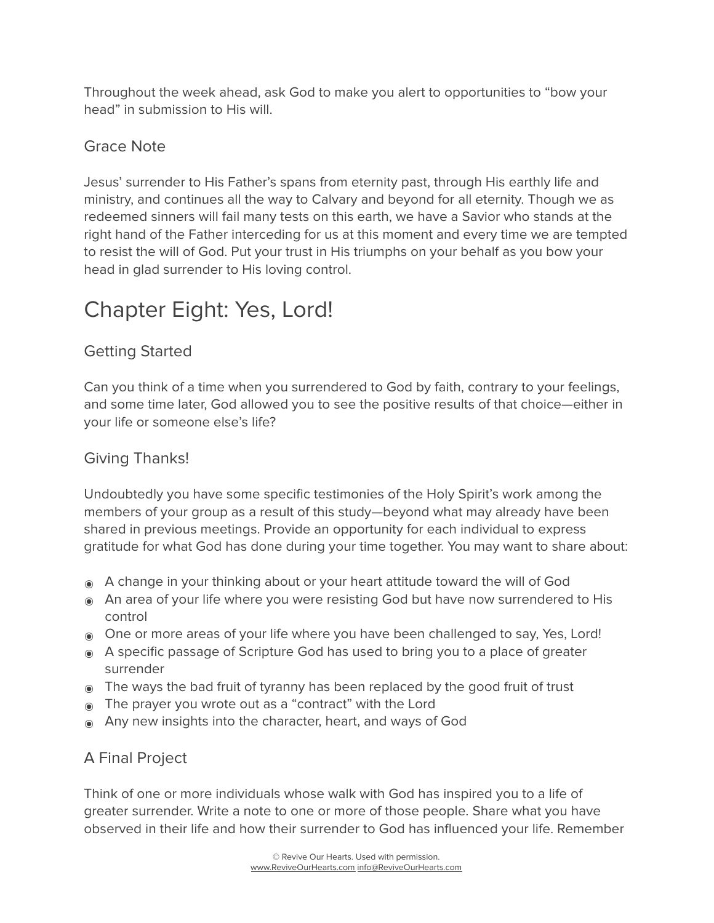Throughout the week ahead, ask God to make you alert to opportunities to "bow your head" in submission to His will.

### Grace Note

Jesus' surrender to His Father's spans from eternity past, through His earthly life and ministry, and continues all the way to Calvary and beyond for all eternity. Though we as redeemed sinners will fail many tests on this earth, we have a Savior who stands at the right hand of the Father interceding for us at this moment and every time we are tempted to resist the will of God. Put your trust in His triumphs on your behalf as you bow your head in glad surrender to His loving control.

# Chapter Eight: Yes, Lord!

## Getting Started

Can you think of a time when you surrendered to God by faith, contrary to your feelings, and some time later, God allowed you to see the positive results of that choice—either in your life or someone else's life?

### Giving Thanks!

Undoubtedly you have some specific testimonies of the Holy Spirit's work among the members of your group as a result of this study—beyond what may already have been shared in previous meetings. Provide an opportunity for each individual to express gratitude for what God has done during your time together. You may want to share about:

- ๏ A change in your thinking about or your heart attitude toward the will of God
- ๏ An area of your life where you were resisting God but have now surrendered to His control
- ๏ One or more areas of your life where you have been challenged to say, Yes, Lord!
- ๏ A specific passage of Scripture God has used to bring you to a place of greater surrender
- ๏ The ways the bad fruit of tyranny has been replaced by the good fruit of trust
- ๏ The prayer you wrote out as a "contract" with the Lord
- ๏ Any new insights into the character, heart, and ways of God

## A Final Project

Think of one or more individuals whose walk with God has inspired you to a life of greater surrender. Write a note to one or more of those people. Share what you have observed in their life and how their surrender to God has influenced your life. Remember